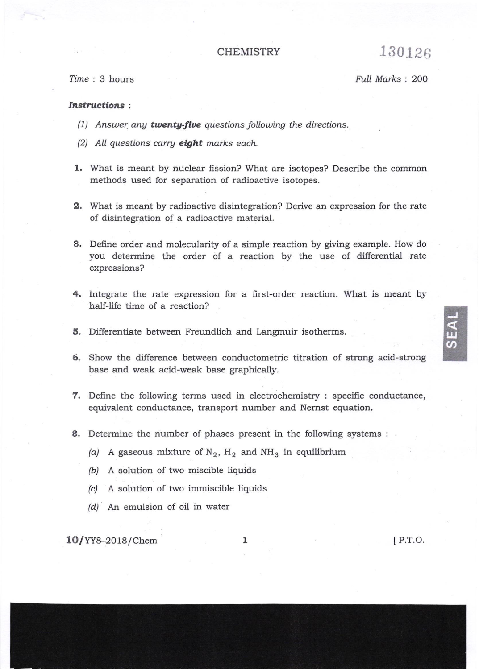# CHEMISTRY 130126

## ?lme : 3 hours Full Marks : 2OO

### Instructions :

- (1) Answer any **twenty-five** questions following the directions.
- $(2)$  All questions carry eight marks each.
- 1. What is meant by nuclear fission? What are isotopes? Describe the common methods used for separation of radioactive isotopes.
- 2. What is meant by radioactive disintegration? Derive an expression for the rate of disintegration of a radioactive material.
- 3. Define order and molecularity of a simple reaction by giving example. How do you determine the order of a reaction by the use of differential rate expressions?
- 4. Integrate the rate expression for a first-order reaction. What is meant by half-life time of a reaction?
- 5. Differentiate between Freundlich and Langmuir isotherms,
- 6. Show the difference between conductometric titration of strong acid-strong base and weak acid-weak base graphically.
- 7. Define the following terms used in electrochemistry : specific conductance, equivalent conductance, transport number and Nernst equation.
- 8. Determine the number of phases present in the following systems :
	- (a) A gaseous mixture of  $N_2$ ,  $H_2$  and  $NH_3$  in equilibrium
	- (b/ A solution of two miscible liquids
	- (c) A solution of two immiscible liquids
	- (d) An emulsion of oil in water

10/YY8-2018/Chem 1 [P.T.O.

I

**ILI**  $\mathcal G$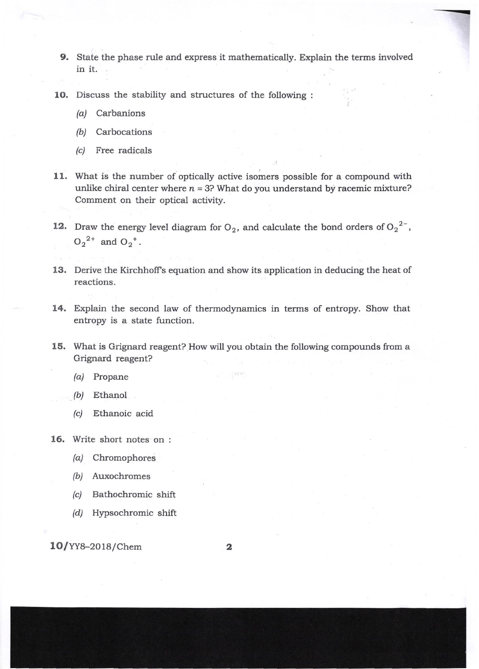- 9. State the phase rule and express it mathematically. Explain the terms involved in it.
- 10. Discuss the stability and structures of the following :
	- (al Carbanions
	- (b) Carbocations
	- (c) Free radicals
- 11. What is the number of optically active isomers possible for a compound with unlike chiral center where  $n = 3$ ? What do you understand by racemic mixture? Comment on their optical activity.
- 12. Draw the energy level diagram for  $O_2$ , and calculate the bond orders of  $O_2^2$ ,  $O_2^2$ <sup>+</sup> and  $O_2^+$ .
- 13. Derive the Kirchhoff's equation and show its application in deducing the heat of reactions.
- 14. Explain the second law of thermodynamics in terms of entropy. Show that entropy is a state function.
- 15. What is Grignard reagent? How will you obtain the following compounds from a Grignard reagent?

 $7377$ 

- (a) Propane
- (b) Ethanol
- (c) Ethanoic acid
- 16. Write short notes on:
	- /a/ Chromophores
	- /b/ Auxochromes
	- (c) Bathochromic shift
	- (d) Hypsochromic shift

10/YY8-2018/Chem 2